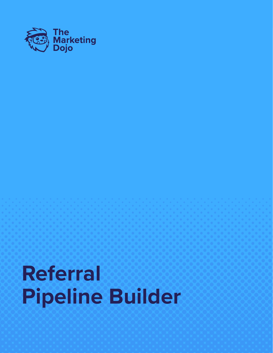

# **Referral Pipeline Builder**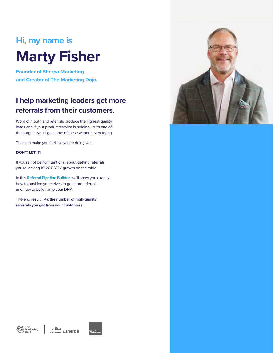## **Hi, my name is Marty Fisher**

**Founder of Sherpa Marketing and Creator of The Marketing Dojo.**

### **I help marketing leaders get more referrals from their customers.**

Word of mouth and referrals produce the highest-quality leads and if your product/service is holding up its end of the bargain, you'll get some of these without even trying.

That can make you feel like you're doing well.

#### **DON'T LET IT!**

If you're not being intentional about getting referrals, you're leaving 10-20% YOY growth on the table.

In this **Referral Pipeline Builder**, we'll show you exactly how to position yourselves to get more referrals and how to build it into your DNA.

The end result… **4x the number of high-quality referrals you get from your customers.** 





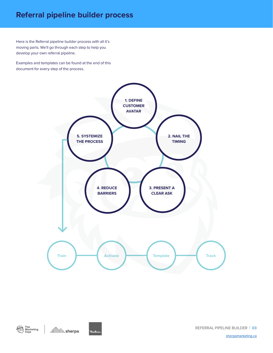### **Referral pipeline builder process**

Here is the Referral pipeline builder process with all it's moving parts. We'll go through each step to help you develop your own referral pipeline.

Examples and templates can be found at the end of this document for every step of the process.







REFERRAL PIPELINE BUILDER | **03**

[sherpamarketing.ca](http://sherpamarketing.ca)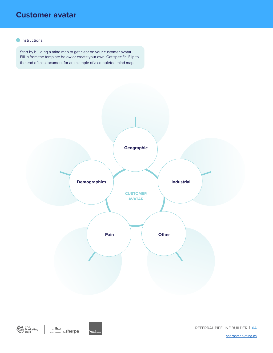### **Customer avatar**

#### **i** Instructions:

Start by building a mind map to get clear on your customer avatar. Fill in from the template below or create your own. Get specific. Flip to the end of this document for an example of a completed mind map.





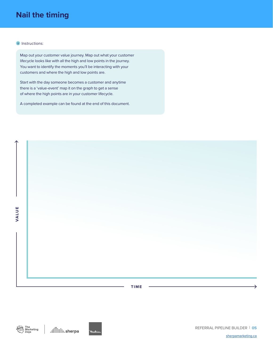### **Nail the timing**

#### **i** Instructions:

Map out your customer value journey. Map out what your customer lifecycle looks like with all the high and low points in the journey. You want to identify the moments you'll be interacting with your customers and where the high and low points are.

Start with the day someone becomes a customer and anytime there is a 'value-event' map it on the graph to get a sense of where the high points are in your customer lifecycle.

A completed example can be found at the end of this document.





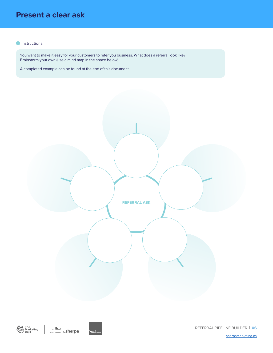### **Present a clear ask**

#### **i** Instructions:

You want to make it easy for your customers to refer you business. What does a referral look like? Brainstorm your own (use a mind map in the space below).

A completed example can be found at the end of this document.





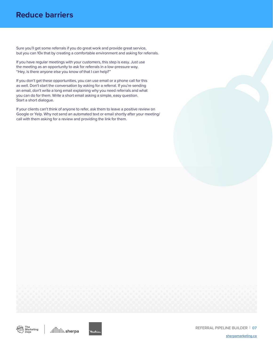### **Reduce barriers**

Sure you'll get some referrals if you do great work and provide great service, but you can 10x that by creating a comfortable environment and asking for referrals.

If you have regular meetings with your customers, this step is easy. Just use the meeting as an opportunity to ask for referrals in a low-pressure way. "Hey, is there anyone else you know of that I can help?"

If you don't get these opportunities, you can use email or a phone call for this as well. Don't start the conversation by asking for a referral. If you're sending an email, don't write a long email explaining why you need referrals and what you can do for them. Write a short email asking a simple, easy question. Start a short dialogue.

If your clients can't think of anyone to refer, ask them to leave a positive review on Google or Yelp. Why not send an automated text or email shortly after your meeting/ call with them asking for a review and providing the link for them.





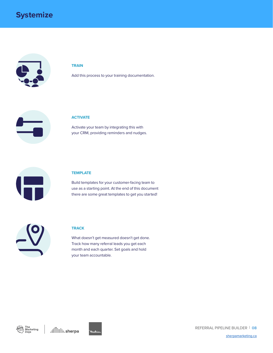

#### **TRAIN**

Add this process to your training documentation.



#### **ACTIVATE**

Activate your team by integrating this with your CRM, providing reminders and nudges.



#### **TEMPLATE**

Build templates for your customer-facing team to use as a starting point. At the end of this document there are some great templates to get you started!

#### **TRACK**

What doesn't get measured doesn't get done. Track how many referral leads you get each month and each quarter. Set goals and hold your team accountable.







Mıki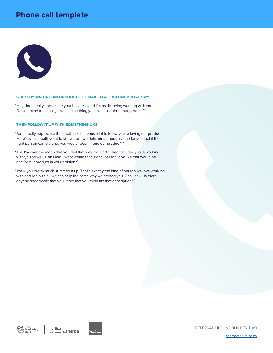### **Phone call template**



#### **START BY WRITING AN UNSOLICITED EMAIL TO A CUSTOMER THAT SAYS:**

"Hey, Joe - really appreciate your business and I'm really loving working with you… Do you mind me asking… what's the thing you like most about our product?"

#### **THEN FOLLOW IT UP WITH SOMETHING LIKE:**

"Joe – really appreciate the feedback. It means a lot to know you're loving our product. Here's what I really want to know… are we delivering enough value for you that if the right person came along, you would recommend our product?"

"Joe, I'm over the moon that you feel that way. So glad to hear as I really love working with you as well. Can I ask… what would that "right" person look like that would be a fit for our product in your opinion?"

"Joe – you pretty much summed it up. That's exactly the kind of person we love working with and really think we can help the same way we helped you. Can I ask... is there anyone specifically that you know that you think fits that description?"





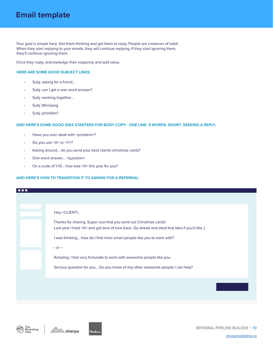### **Email template**

Your goal is simple here. Get them thinking and get them to reply. People are creatures of habit. When they start replying to your emails, they will continue replying. If they start ignoring them, they'll continue ignoring them.

Once they reply, acknowledge their response and add value.

#### **HERE ARE SOME GOOD SUBJECT LINES:**

- Subj: asking for a friend...
- Subj: can I get a one-word answer?
- Subj: working together...
- Subj: Winnipeg
- Subj: priorities?

#### **AND HERE'S SOME GOOD IDEA STARTERS FOR BODY COPY - ONE LINE. 9 WORDS. SHORT. SEEKING A REPLY.**

- Have you ever dealt with <problem>?
- Do you use <X> or <Y>?
- Asking around... do you send your best clients christmas cards?
- One word answer… <question>
- On a scale of 1-10… how was <X> this year for you?

#### **AND HERE'S HOW TO TRANSITION IT TO ASKING FOR A REFERRAL:**

| mm m |                                                                                                                                                                                                                                          |
|------|------------------------------------------------------------------------------------------------------------------------------------------------------------------------------------------------------------------------------------------|
|      | Hey <client>,<br/>Thanks for sharing. Super cool that you send out Christmas cards!<br/>Last year I tried &lt; X&gt; and got tons of love back. Go ahead and steal that idea if you'd like;)</client>                                    |
|      | I was thinking how do I find more smart people like you to work with?<br>$-0r -$<br>Amazing. I feel very fortunate to work with awesome people like you.<br>Serious question for you Do you know of any other awesome people I can help? |
|      |                                                                                                                                                                                                                                          |



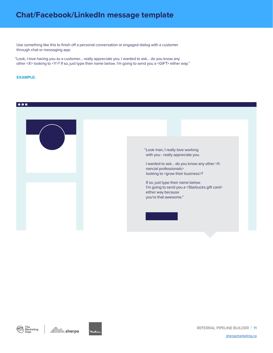### **Chat/Facebook/LinkedIn message template**

Use something like this to finish off a personal conversation or engaged dialog with a customer through chat or messaging app:

"Look, I love having you as a customer… really appreciate you. I wanted to ask… do you know any other <X> looking to <Y>? If so, just type their name below. I'm going to send you a <GIFT> either way."

#### **EXAMPLE:**

#### **DEE**







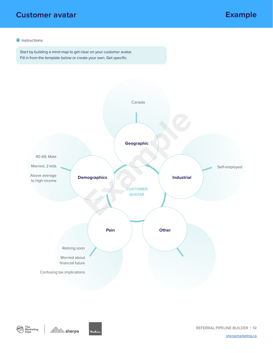### **Customer avatar Example**

#### **i** Instructions:

Start by building a mind map to get clear on your customer avatar. Fill in from the template below or create your own. Get specific.





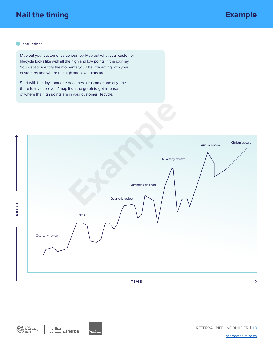### **Nail the timing Example**

#### **i** Instructions:

Map out your customer value journey. Map out what your customer lifecycle looks like with all the high and low points in the journey. You want to identify the moments you'll be interacting with your customers and where the high and low points are.

Start with the day someone becomes a customer and anytime there is a 'value-event' map it on the graph to get a sense of where the high points are in your customer lifecycle.

| ∧<br>VALUE | Christmas card<br>Annual review<br>Quarterly review<br>Summer golf event<br>Quarterly review<br>Taxes<br>Quarterly review |
|------------|---------------------------------------------------------------------------------------------------------------------------|
|            | TIME                                                                                                                      |



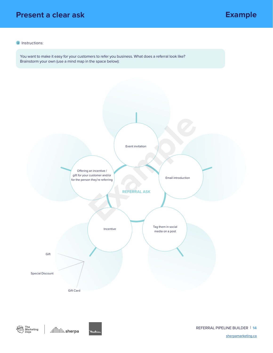### **Present a clear ask**

### **Example**

#### **i** Instructions:

You want to make it easy for your customers to refer you business. What does a referral look like? Brainstorm your own (use a mind map in the space below):





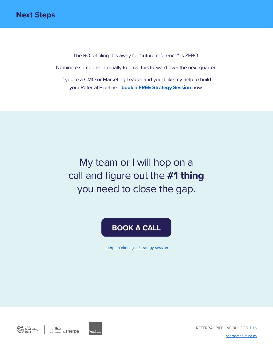The ROI of filing this away for "future reference" is ZERO. Nominate someone internally to drive this forward over the next quarter. If you're a CMO or Marketing Leader and you'd like my help to build your Referral Pipeline... **[book a FREE Strategy Session](https://www.sherpamarketing.ca/strategy-session)** now.

My team or I will hop on a call and figure out the **#1 thing**  you need to close the gap.

### **[BOOK A CALL](https://www.sherpamarketing.ca/strategy-session)**

[sherpamarketing.ca/strategy-session](https://www.sherpamarketing.ca/strategy-session)





REFERRAL PIPELINE BUILDER | **15**

[sherpamarketing.ca](http://sherpamarketing.ca)